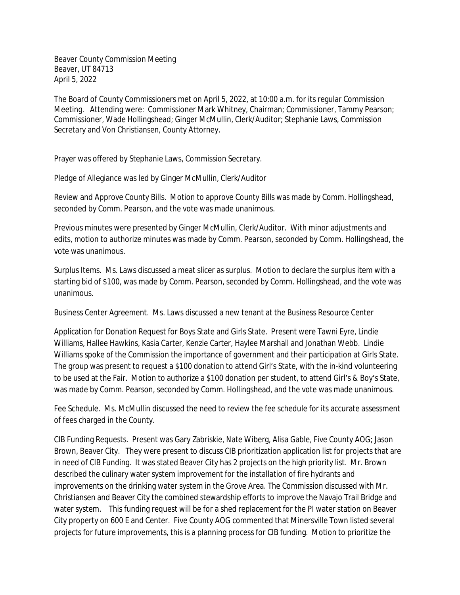Beaver County Commission Meeting Beaver, UT 84713 April 5, 2022

The Board of County Commissioners met on April 5, 2022, at 10:00 a.m. for its regular Commission Meeting. Attending were: Commissioner Mark Whitney, Chairman; Commissioner, Tammy Pearson; Commissioner, Wade Hollingshead; Ginger McMullin, Clerk/Auditor; Stephanie Laws, Commission Secretary and Von Christiansen, County Attorney.

Prayer was offered by Stephanie Laws, Commission Secretary.

Pledge of Allegiance was led by Ginger McMullin, Clerk/Auditor

Review and Approve County Bills. Motion to approve County Bills was made by Comm. Hollingshead, seconded by Comm. Pearson, and the vote was made unanimous.

Previous minutes were presented by Ginger McMullin, Clerk/Auditor. With minor adjustments and edits, motion to authorize minutes was made by Comm. Pearson, seconded by Comm. Hollingshead, the vote was unanimous.

Surplus Items. Ms. Laws discussed a meat slicer as surplus. Motion to declare the surplus item with a starting bid of \$100, was made by Comm. Pearson, seconded by Comm. Hollingshead, and the vote was unanimous.

Business Center Agreement. Ms. Laws discussed a new tenant at the Business Resource Center

Application for Donation Request for Boys State and Girls State. Present were Tawni Eyre, Lindie Williams, Hallee Hawkins, Kasia Carter, Kenzie Carter, Haylee Marshall and Jonathan Webb. Lindie Williams spoke of the Commission the importance of government and their participation at Girls State. The group was present to request a \$100 donation to attend Girl's State, with the in-kind volunteering to be used at the Fair. Motion to authorize a \$100 donation per student, to attend Girl's & Boy's State, was made by Comm. Pearson, seconded by Comm. Hollingshead, and the vote was made unanimous.

Fee Schedule. Ms. McMullin discussed the need to review the fee schedule for its accurate assessment of fees charged in the County.

CIB Funding Requests. Present was Gary Zabriskie, Nate Wiberg, Alisa Gable, Five County AOG; Jason Brown, Beaver City. They were present to discuss CIB prioritization application list for projects that are in need of CIB Funding. It was stated Beaver City has 2 projects on the high priority list. Mr. Brown described the culinary water system improvement for the installation of fire hydrants and improvements on the drinking water system in the Grove Area. The Commission discussed with Mr. Christiansen and Beaver City the combined stewardship efforts to improve the Navajo Trail Bridge and water system. This funding request will be for a shed replacement for the PI water station on Beaver City property on 600 E and Center. Five County AOG commented that Minersville Town listed several projects for future improvements, this is a planning process for CIB funding. Motion to prioritize the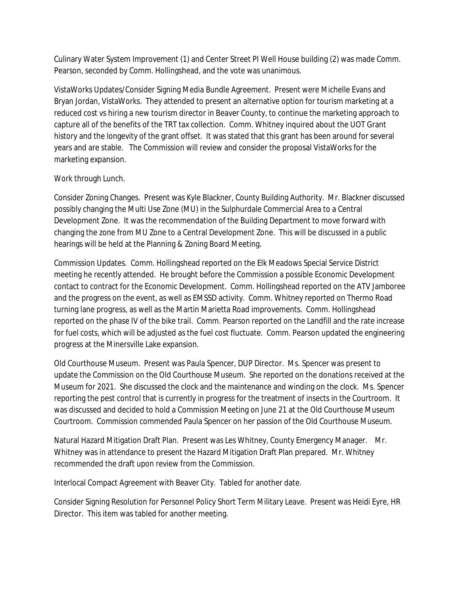Culinary Water System Improvement (1) and Center Street PI Well House building (2) was made Comm. Pearson, seconded by Comm. Hollingshead, and the vote was unanimous.

VistaWorks Updates/Consider Signing Media Bundle Agreement. Present were Michelle Evans and Bryan Jordan, VistaWorks. They attended to present an alternative option for tourism marketing at a reduced cost vs hiring a new tourism director in Beaver County, to continue the marketing approach to capture all of the benefits of the TRT tax collection. Comm. Whitney inquired about the UOT Grant history and the longevity of the grant offset. It was stated that this grant has been around for several years and are stable. The Commission will review and consider the proposal VistaWorks for the marketing expansion.

## Work through Lunch.

Consider Zoning Changes. Present was Kyle Blackner, County Building Authority. Mr. Blackner discussed possibly changing the Multi Use Zone (MU) in the Sulphurdale Commercial Area to a Central Development Zone. It was the recommendation of the Building Department to move forward with changing the zone from MU Zone to a Central Development Zone. This will be discussed in a public hearings will be held at the Planning & Zoning Board Meeting.

Commission Updates. Comm. Hollingshead reported on the Elk Meadows Special Service District meeting he recently attended. He brought before the Commission a possible Economic Development contact to contract for the Economic Development. Comm. Hollingshead reported on the ATV Jamboree and the progress on the event, as well as EMSSD activity. Comm. Whitney reported on Thermo Road turning lane progress, as well as the Martin Marietta Road improvements. Comm. Hollingshead reported on the phase IV of the bike trail. Comm. Pearson reported on the Landfill and the rate increase for fuel costs, which will be adjusted as the fuel cost fluctuate. Comm. Pearson updated the engineering progress at the Minersville Lake expansion.

Old Courthouse Museum. Present was Paula Spencer, DUP Director. Ms. Spencer was present to update the Commission on the Old Courthouse Museum. She reported on the donations received at the Museum for 2021. She discussed the clock and the maintenance and winding on the clock. Ms. Spencer reporting the pest control that is currently in progress for the treatment of insects in the Courtroom. It was discussed and decided to hold a Commission Meeting on June 21 at the Old Courthouse Museum Courtroom. Commission commended Paula Spencer on her passion of the Old Courthouse Museum.

Natural Hazard Mitigation Draft Plan. Present was Les Whitney, County Emergency Manager. Mr. Whitney was in attendance to present the Hazard Mitigation Draft Plan prepared. Mr. Whitney recommended the draft upon review from the Commission.

Interlocal Compact Agreement with Beaver City. Tabled for another date.

Consider Signing Resolution for Personnel Policy Short Term Military Leave. Present was Heidi Eyre, HR Director. This item was tabled for another meeting.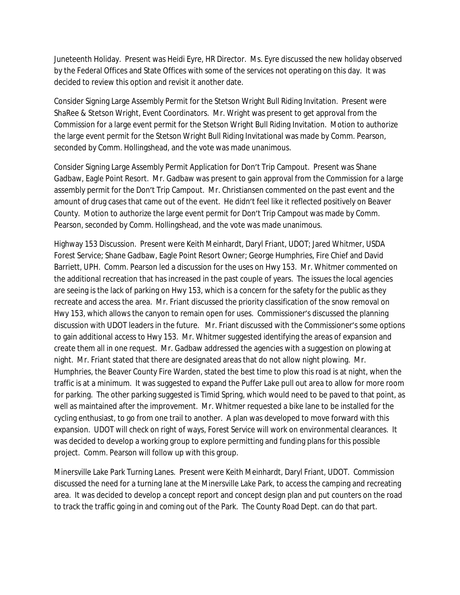Juneteenth Holiday. Present was Heidi Eyre, HR Director. Ms. Eyre discussed the new holiday observed by the Federal Offices and State Offices with some of the services not operating on this day. It was decided to review this option and revisit it another date.

Consider Signing Large Assembly Permit for the Stetson Wright Bull Riding Invitation. Present were ShaRee & Stetson Wright, Event Coordinators. Mr. Wright was present to get approval from the Commission for a large event permit for the Stetson Wright Bull Riding Invitation. Motion to authorize the large event permit for the Stetson Wright Bull Riding Invitational was made by Comm. Pearson, seconded by Comm. Hollingshead, and the vote was made unanimous.

Consider Signing Large Assembly Permit Application for Don't Trip Campout. Present was Shane Gadbaw, Eagle Point Resort. Mr. Gadbaw was present to gain approval from the Commission for a large assembly permit for the Don't Trip Campout. Mr. Christiansen commented on the past event and the amount of drug cases that came out of the event. He didn't feel like it reflected positively on Beaver County. Motion to authorize the large event permit for Don't Trip Campout was made by Comm. Pearson, seconded by Comm. Hollingshead, and the vote was made unanimous.

Highway 153 Discussion. Present were Keith Meinhardt, Daryl Friant, UDOT; Jared Whitmer, USDA Forest Service; Shane Gadbaw, Eagle Point Resort Owner; George Humphries, Fire Chief and David Barriett, UPH. Comm. Pearson led a discussion for the uses on Hwy 153. Mr. Whitmer commented on the additional recreation that has increased in the past couple of years. The issues the local agencies are seeing is the lack of parking on Hwy 153, which is a concern for the safety for the public as they recreate and access the area. Mr. Friant discussed the priority classification of the snow removal on Hwy 153, which allows the canyon to remain open for uses. Commissioner's discussed the planning discussion with UDOT leaders in the future. Mr. Friant discussed with the Commissioner's some options to gain additional access to Hwy 153. Mr. Whitmer suggested identifying the areas of expansion and create them all in one request. Mr. Gadbaw addressed the agencies with a suggestion on plowing at night. Mr. Friant stated that there are designated areas that do not allow night plowing. Mr. Humphries, the Beaver County Fire Warden, stated the best time to plow this road is at night, when the traffic is at a minimum. It was suggested to expand the Puffer Lake pull out area to allow for more room for parking. The other parking suggested is Timid Spring, which would need to be paved to that point, as well as maintained after the improvement. Mr. Whitmer requested a bike lane to be installed for the cycling enthusiast, to go from one trail to another. A plan was developed to move forward with this expansion. UDOT will check on right of ways, Forest Service will work on environmental clearances. It was decided to develop a working group to explore permitting and funding plans for this possible project. Comm. Pearson will follow up with this group.

Minersville Lake Park Turning Lanes. Present were Keith Meinhardt, Daryl Friant, UDOT. Commission discussed the need for a turning lane at the Minersville Lake Park, to access the camping and recreating area. It was decided to develop a concept report and concept design plan and put counters on the road to track the traffic going in and coming out of the Park. The County Road Dept. can do that part.